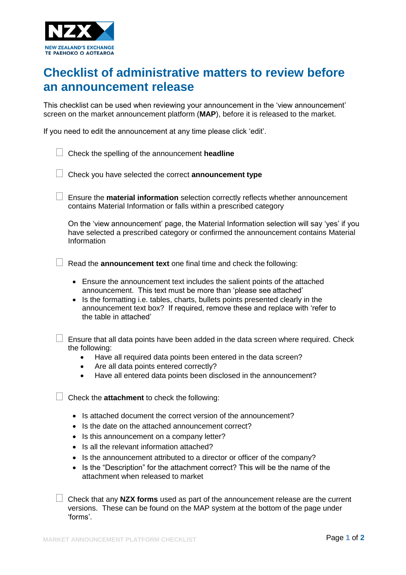

## **Checklist of administrative matters to review before an announcement release**

This checklist can be used when reviewing your announcement in the 'view announcement' screen on the market announcement platform (**MAP**), before it is released to the market.

If you need to edit the announcement at any time please click 'edit'.

| Check the spelling of the announcement headline                                                                                                                                                                                                                                                                                                                                                                             |
|-----------------------------------------------------------------------------------------------------------------------------------------------------------------------------------------------------------------------------------------------------------------------------------------------------------------------------------------------------------------------------------------------------------------------------|
| Check you have selected the correct announcement type                                                                                                                                                                                                                                                                                                                                                                       |
| Ensure the material information selection correctly reflects whether announcement<br>contains Material Information or falls within a prescribed category                                                                                                                                                                                                                                                                    |
| On the 'view announcement' page, the Material Information selection will say 'yes' if you<br>have selected a prescribed category or confirmed the announcement contains Material<br>Information                                                                                                                                                                                                                             |
| Read the <b>announcement text</b> one final time and check the following:                                                                                                                                                                                                                                                                                                                                                   |
| Ensure the announcement text includes the salient points of the attached<br>announcement. This text must be more than 'please see attached'<br>Is the formatting i.e. tables, charts, bullets points presented clearly in the<br>$\bullet$<br>announcement text box? If required, remove these and replace with 'refer to<br>the table in attached'                                                                         |
| Ensure that all data points have been added in the data screen where required. Check<br>the following:<br>Have all required data points been entered in the data screen?<br>Are all data points entered correctly?<br>$\bullet$<br>Have all entered data points been disclosed in the announcement?<br>$\bullet$                                                                                                            |
| Check the attachment to check the following:                                                                                                                                                                                                                                                                                                                                                                                |
| Is attached document the correct version of the announcement?<br>$\bullet$<br>Is the date on the attached announcement correct?<br>Is this announcement on a company letter?<br>Is all the relevant information attached?<br>Is the announcement attributed to a director or officer of the company?<br>Is the "Description" for the attachment correct? This will be the name of the<br>attachment when released to market |
| Check that any NZX forms used as part of the announcement release are the current<br>versions. These can be found on the MAP system at the bottom of the page under<br>'forms'.                                                                                                                                                                                                                                             |